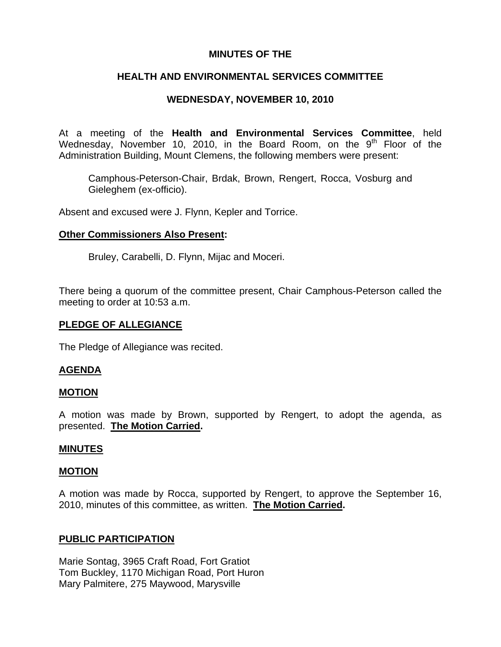### **MINUTES OF THE**

### **HEALTH AND ENVIRONMENTAL SERVICES COMMITTEE**

### **WEDNESDAY, NOVEMBER 10, 2010**

At a meeting of the **Health and Environmental Services Committee**, held Wednesday, November 10, 2010, in the Board Room, on the  $9<sup>th</sup>$  Floor of the Administration Building, Mount Clemens, the following members were present:

Camphous-Peterson-Chair, Brdak, Brown, Rengert, Rocca, Vosburg and Gieleghem (ex-officio).

Absent and excused were J. Flynn, Kepler and Torrice.

#### **Other Commissioners Also Present:**

Bruley, Carabelli, D. Flynn, Mijac and Moceri.

There being a quorum of the committee present, Chair Camphous-Peterson called the meeting to order at 10:53 a.m.

#### **PLEDGE OF ALLEGIANCE**

The Pledge of Allegiance was recited.

### **AGENDA**

#### **MOTION**

A motion was made by Brown, supported by Rengert, to adopt the agenda, as presented. **The Motion Carried.** 

#### **MINUTES**

#### **MOTION**

A motion was made by Rocca, supported by Rengert, to approve the September 16, 2010, minutes of this committee, as written. **The Motion Carried.** 

#### **PUBLIC PARTICIPATION**

Marie Sontag, 3965 Craft Road, Fort Gratiot Tom Buckley, 1170 Michigan Road, Port Huron Mary Palmitere, 275 Maywood, Marysville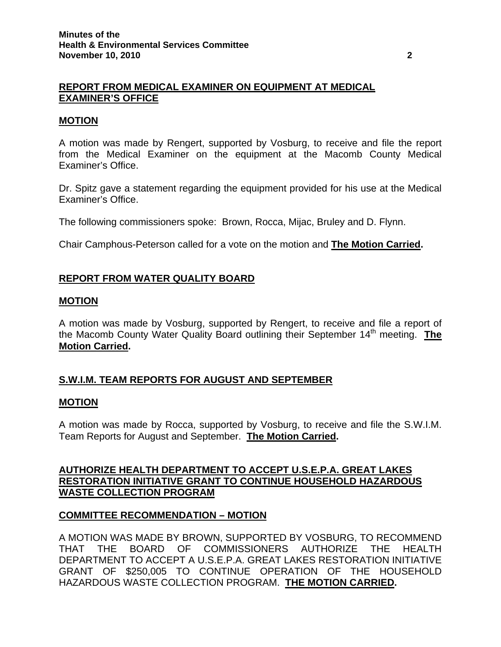## **REPORT FROM MEDICAL EXAMINER ON EQUIPMENT AT MEDICAL EXAMINER'S OFFICE**

### **MOTION**

A motion was made by Rengert, supported by Vosburg, to receive and file the report from the Medical Examiner on the equipment at the Macomb County Medical Examiner's Office.

Dr. Spitz gave a statement regarding the equipment provided for his use at the Medical Examiner's Office.

The following commissioners spoke: Brown, Rocca, Mijac, Bruley and D. Flynn.

Chair Camphous-Peterson called for a vote on the motion and **The Motion Carried.** 

### **REPORT FROM WATER QUALITY BOARD**

#### **MOTION**

A motion was made by Vosburg, supported by Rengert, to receive and file a report of the Macomb County Water Quality Board outlining their September 14<sup>th</sup> meeting. **The Motion Carried.** 

### **S.W.I.M. TEAM REPORTS FOR AUGUST AND SEPTEMBER**

#### **MOTION**

A motion was made by Rocca, supported by Vosburg, to receive and file the S.W.I.M. Team Reports for August and September. **The Motion Carried.** 

### **AUTHORIZE HEALTH DEPARTMENT TO ACCEPT U.S.E.P.A. GREAT LAKES RESTORATION INITIATIVE GRANT TO CONTINUE HOUSEHOLD HAZARDOUS WASTE COLLECTION PROGRAM**

#### **COMMITTEE RECOMMENDATION – MOTION**

A MOTION WAS MADE BY BROWN, SUPPORTED BY VOSBURG, TO RECOMMEND THAT THE BOARD OF COMMISSIONERS AUTHORIZE THE HEALTH DEPARTMENT TO ACCEPT A U.S.E.P.A. GREAT LAKES RESTORATION INITIATIVE GRANT OF \$250,005 TO CONTINUE OPERATION OF THE HOUSEHOLD HAZARDOUS WASTE COLLECTION PROGRAM. **THE MOTION CARRIED.**